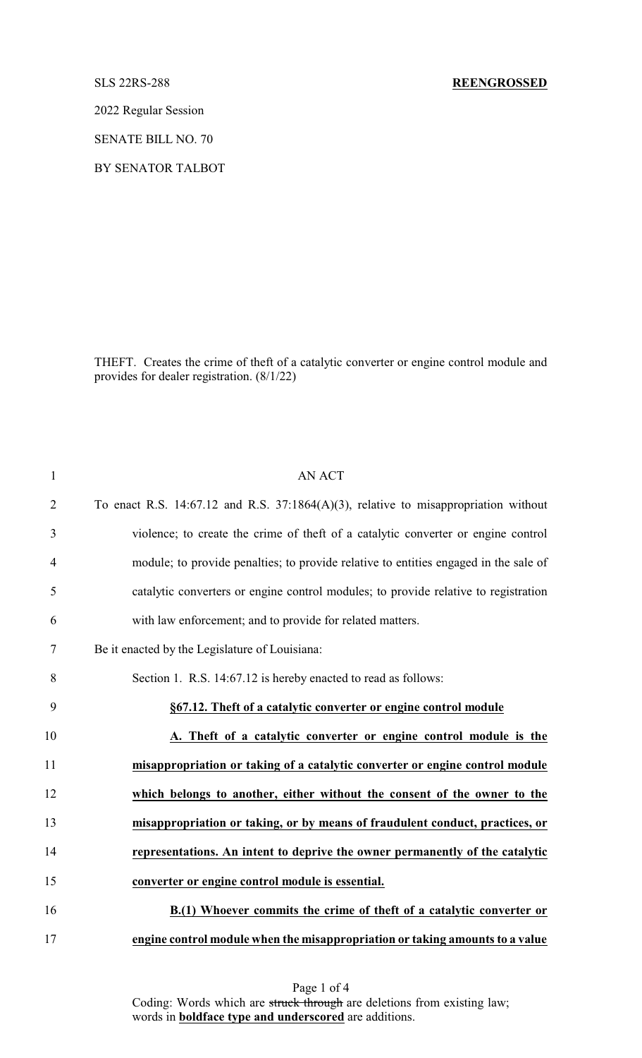2022 Regular Session

SENATE BILL NO. 70

BY SENATOR TALBOT

THEFT. Creates the crime of theft of a catalytic converter or engine control module and provides for dealer registration. (8/1/22)

| $\mathbf{1}$   | <b>AN ACT</b>                                                                           |
|----------------|-----------------------------------------------------------------------------------------|
| $\overline{2}$ | To enact R.S. 14:67.12 and R.S. 37:1864 $(A)(3)$ , relative to misappropriation without |
| 3              | violence; to create the crime of theft of a catalytic converter or engine control       |
| $\overline{4}$ | module; to provide penalties; to provide relative to entities engaged in the sale of    |
| 5              | catalytic converters or engine control modules; to provide relative to registration     |
| 6              | with law enforcement; and to provide for related matters.                               |
| 7              | Be it enacted by the Legislature of Louisiana:                                          |
| 8              | Section 1. R.S. 14:67.12 is hereby enacted to read as follows:                          |
| 9              | §67.12. Theft of a catalytic converter or engine control module                         |
| 10             | A. Theft of a catalytic converter or engine control module is the                       |
| 11             | misappropriation or taking of a catalytic converter or engine control module            |
| 12             | which belongs to another, either without the consent of the owner to the                |
| 13             | misappropriation or taking, or by means of fraudulent conduct, practices, or            |
| 14             | representations. An intent to deprive the owner permanently of the catalytic            |
| 15             | converter or engine control module is essential.                                        |
| 16             | B.(1) Whoever commits the crime of theft of a catalytic converter or                    |
| 17             | engine control module when the misappropriation or taking amounts to a value            |

Page 1 of 4 Coding: Words which are struck through are deletions from existing law; words in **boldface type and underscored** are additions.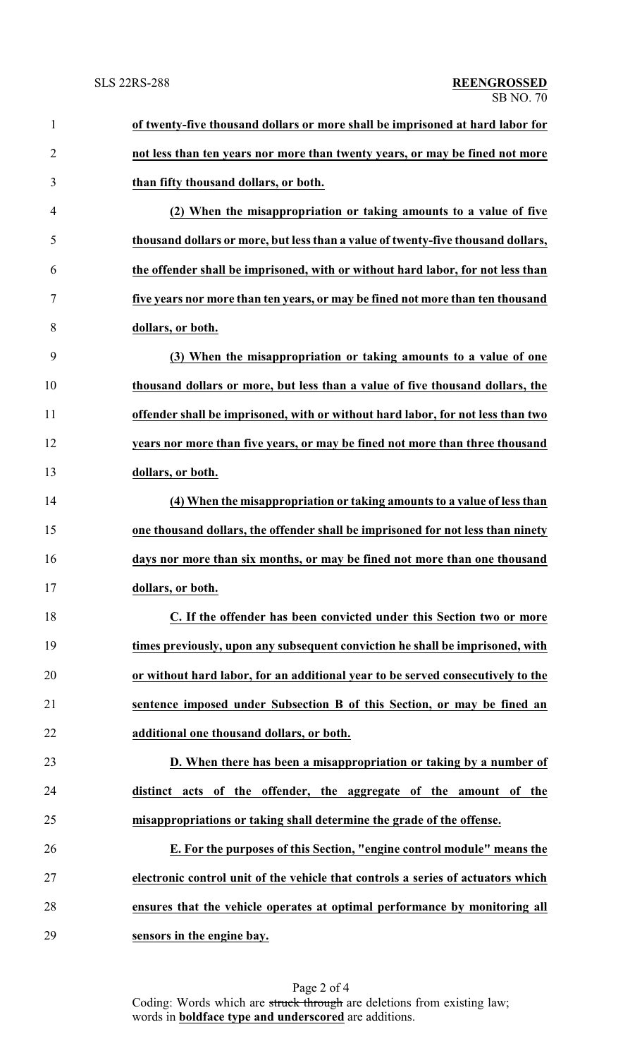| $\mathbf{1}$   | of twenty-five thousand dollars or more shall be imprisoned at hard labor for    |
|----------------|----------------------------------------------------------------------------------|
| $\overline{2}$ | not less than ten years nor more than twenty years, or may be fined not more     |
| 3              | than fifty thousand dollars, or both.                                            |
| 4              | (2) When the misappropriation or taking amounts to a value of five               |
| 5              | thousand dollars or more, but less than a value of twenty-five thousand dollars, |
| 6              | the offender shall be imprisoned, with or without hard labor, for not less than  |
| 7              | five years nor more than ten years, or may be fined not more than ten thousand   |
| 8              | dollars, or both.                                                                |
| 9              | (3) When the misappropriation or taking amounts to a value of one                |
| 10             | thousand dollars or more, but less than a value of five thousand dollars, the    |
| 11             | offender shall be imprisoned, with or without hard labor, for not less than two  |
| 12             | years nor more than five years, or may be fined not more than three thousand     |
| 13             | dollars, or both.                                                                |
| 14             | (4) When the misappropriation or taking amounts to a value of less than          |
| 15             | one thousand dollars, the offender shall be imprisoned for not less than ninety  |
| 16             | days nor more than six months, or may be fined not more than one thousand        |
| 17             | dollars, or both.                                                                |
| 18             | C. If the offender has been convicted under this Section two or more             |
| 19             | times previously, upon any subsequent conviction he shall be imprisoned, with    |
| 20             | or without hard labor, for an additional year to be served consecutively to the  |
| 21             | sentence imposed under Subsection B of this Section, or may be fined an          |
| 22             | additional one thousand dollars, or both.                                        |
| 23             | D. When there has been a misappropriation or taking by a number of               |
| 24             | distinct acts of the offender, the aggregate of the amount of the                |
| 25             | misappropriations or taking shall determine the grade of the offense.            |
| 26             | E. For the purposes of this Section, "engine control module" means the           |
| 27             | electronic control unit of the vehicle that controls a series of actuators which |
| 28             | ensures that the vehicle operates at optimal performance by monitoring all       |
| 29             | sensors in the engine bay.                                                       |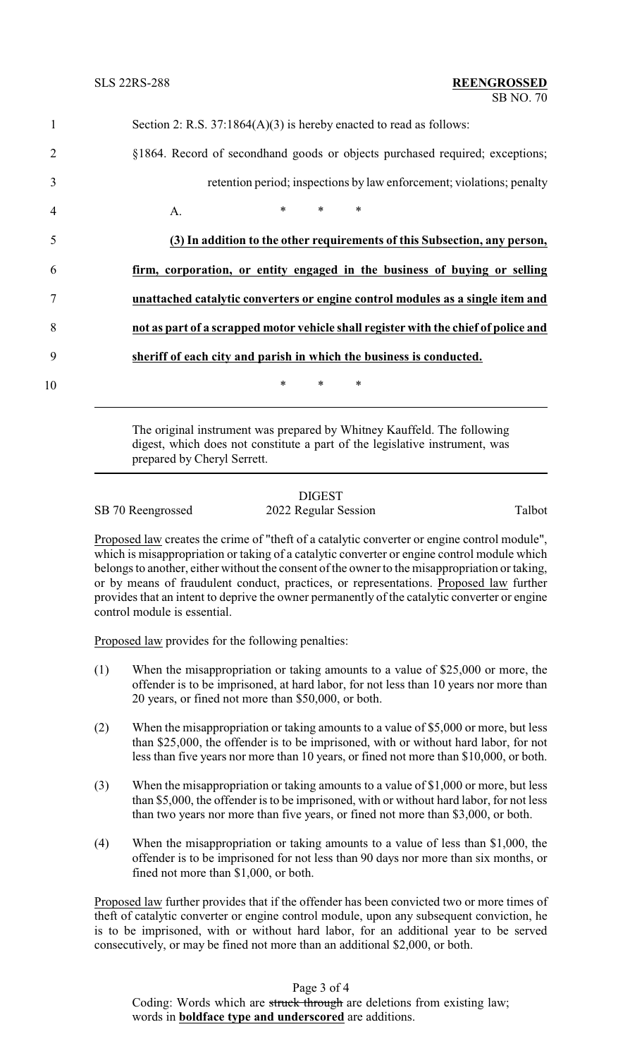| $\mathbf{1}$   | Section 2: R.S. $37:1864(A)(3)$ is hereby enacted to read as follows:               |
|----------------|-------------------------------------------------------------------------------------|
| 2              | §1864. Record of secondhand goods or objects purchased required; exceptions;        |
| 3              | retention period; inspections by law enforcement; violations; penalty               |
| $\overline{4}$ | $*$ $*$<br>$*$ $*$<br>$\ast$<br>A.                                                  |
| 5              | (3) In addition to the other requirements of this Subsection, any person,           |
| 6              | firm, corporation, or entity engaged in the business of buying or selling           |
| 7              | unattached catalytic converters or engine control modules as a single item and      |
| 8              | not as part of a scrapped motor vehicle shall register with the chief of police and |
| 9              | sheriff of each city and parish in which the business is conducted.                 |
| 10             | $\ast$<br>$\ast$<br>∗                                                               |
|                |                                                                                     |

The original instrument was prepared by Whitney Kauffeld. The following digest, which does not constitute a part of the legislative instrument, was prepared by Cheryl Serrett.

## **DIGEST** SB 70 Reengrossed 2022 Regular Session Talbot

Proposed law creates the crime of "theft of a catalytic converter or engine control module", which is misappropriation or taking of a catalytic converter or engine control module which belongs to another, either without the consent of the owner to the misappropriation or taking, or by means of fraudulent conduct, practices, or representations. Proposed law further provides that an intent to deprive the owner permanently of the catalytic converter or engine control module is essential.

Proposed law provides for the following penalties:

- (1) When the misappropriation or taking amounts to a value of \$25,000 or more, the offender is to be imprisoned, at hard labor, for not less than 10 years nor more than 20 years, or fined not more than \$50,000, or both.
- (2) When the misappropriation or taking amounts to a value of \$5,000 or more, but less than \$25,000, the offender is to be imprisoned, with or without hard labor, for not less than five years nor more than 10 years, or fined not more than \$10,000, or both.
- (3) When the misappropriation or taking amounts to a value of \$1,000 or more, but less than \$5,000, the offender is to be imprisoned, with or without hard labor, for not less than two years nor more than five years, or fined not more than \$3,000, or both.
- (4) When the misappropriation or taking amounts to a value of less than \$1,000, the offender is to be imprisoned for not less than 90 days nor more than six months, or fined not more than \$1,000, or both.

Proposed law further provides that if the offender has been convicted two or more times of theft of catalytic converter or engine control module, upon any subsequent conviction, he is to be imprisoned, with or without hard labor, for an additional year to be served consecutively, or may be fined not more than an additional \$2,000, or both.

Page 3 of 4 Coding: Words which are struck through are deletions from existing law; words in **boldface type and underscored** are additions.